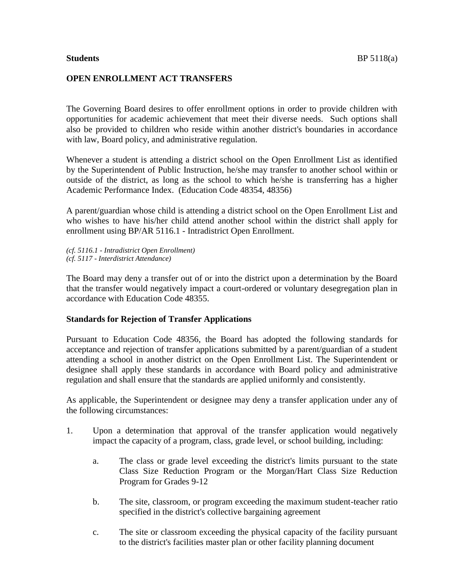## **OPEN ENROLLMENT ACT TRANSFERS**

The Governing Board desires to offer enrollment options in order to provide children with opportunities for academic achievement that meet their diverse needs. Such options shall also be provided to children who reside within another district's boundaries in accordance with law, Board policy, and administrative regulation.

Whenever a student is attending a district school on the Open Enrollment List as identified by the Superintendent of Public Instruction, he/she may transfer to another school within or outside of the district, as long as the school to which he/she is transferring has a higher Academic Performance Index. (Education Code 48354, 48356)

A parent/guardian whose child is attending a district school on the Open Enrollment List and who wishes to have his/her child attend another school within the district shall apply for enrollment using BP/AR 5116.1 - Intradistrict Open Enrollment.

*(cf. 5116.1 - Intradistrict Open Enrollment) (cf. 5117 - Interdistrict Attendance)*

The Board may deny a transfer out of or into the district upon a determination by the Board that the transfer would negatively impact a court-ordered or voluntary desegregation plan in accordance with Education Code 48355.

## **Standards for Rejection of Transfer Applications**

Pursuant to Education Code 48356, the Board has adopted the following standards for acceptance and rejection of transfer applications submitted by a parent/guardian of a student attending a school in another district on the Open Enrollment List. The Superintendent or designee shall apply these standards in accordance with Board policy and administrative regulation and shall ensure that the standards are applied uniformly and consistently.

As applicable, the Superintendent or designee may deny a transfer application under any of the following circumstances:

- 1. Upon a determination that approval of the transfer application would negatively impact the capacity of a program, class, grade level, or school building, including:
	- a. The class or grade level exceeding the district's limits pursuant to the state Class Size Reduction Program or the Morgan/Hart Class Size Reduction Program for Grades 9-12
	- b. The site, classroom, or program exceeding the maximum student-teacher ratio specified in the district's collective bargaining agreement
	- c. The site or classroom exceeding the physical capacity of the facility pursuant to the district's facilities master plan or other facility planning document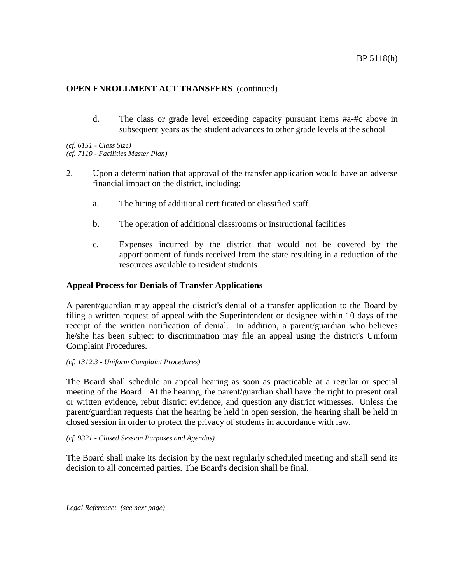d. The class or grade level exceeding capacity pursuant items #a-#c above in subsequent years as the student advances to other grade levels at the school

*(cf. 6151 - Class Size)*

*(cf. 7110 - Facilities Master Plan)*

- 2. Upon a determination that approval of the transfer application would have an adverse financial impact on the district, including:
	- a. The hiring of additional certificated or classified staff
	- b. The operation of additional classrooms or instructional facilities
	- c. Expenses incurred by the district that would not be covered by the apportionment of funds received from the state resulting in a reduction of the resources available to resident students

## **Appeal Process for Denials of Transfer Applications**

A parent/guardian may appeal the district's denial of a transfer application to the Board by filing a written request of appeal with the Superintendent or designee within 10 days of the receipt of the written notification of denial. In addition, a parent/guardian who believes he/she has been subject to discrimination may file an appeal using the district's Uniform Complaint Procedures.

## *(cf. 1312.3 - Uniform Complaint Procedures)*

The Board shall schedule an appeal hearing as soon as practicable at a regular or special meeting of the Board. At the hearing, the parent/guardian shall have the right to present oral or written evidence, rebut district evidence, and question any district witnesses. Unless the parent/guardian requests that the hearing be held in open session, the hearing shall be held in closed session in order to protect the privacy of students in accordance with law.

## *(cf. 9321 - Closed Session Purposes and Agendas)*

The Board shall make its decision by the next regularly scheduled meeting and shall send its decision to all concerned parties. The Board's decision shall be final.

*Legal Reference: (see next page)*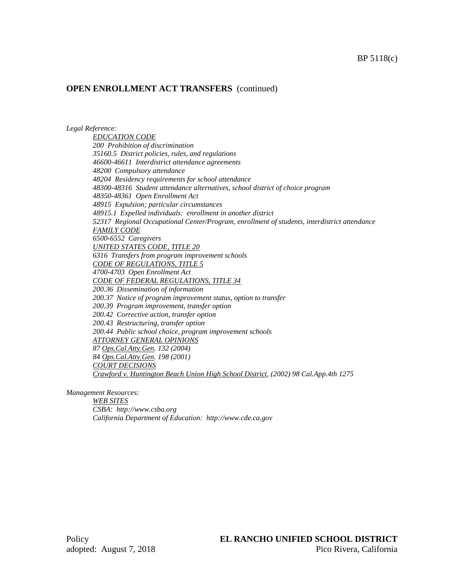### *Legal Reference:*

*EDUCATION CODE 200 Prohibition of discrimination 35160.5 District policies, rules, and regulations 46600-46611 Interdistrict attendance agreements 48200 Compulsory attendance 48204 Residency requirements for school attendance 48300-48316 Student attendance alternatives, school district of choice program 48350-48361 Open Enrollment Act 48915 Expulsion; particular circumstances 48915.1 Expelled individuals: enrollment in another district 52317 Regional Occupational Center/Program, enrollment of students, interdistrict attendance FAMILY CODE 6500-6552 Caregivers UNITED STATES CODE, TITLE 20 6316 Transfers from program improvement schools CODE OF REGULATIONS, TITLE 5 4700-4703 Open Enrollment Act CODE OF FEDERAL REGULATIONS, TITLE 34 200.36 Dissemination of information 200.37 Notice of program improvement status, option to transfer 200.39 Program improvement, transfer option 200.42 Corrective action, transfer option 200.43 Restructuring, transfer option 200.44 Public school choice, program improvement schools ATTORNEY GENERAL OPINIONS 87 Ops.Cal.Atty.Gen. 132 (2004) 84 Ops.Cal.Atty.Gen. 198 (2001) COURT DECISIONS Crawford v. Huntington Beach Union High School District, (2002) 98 Cal.App.4th 1275*

*Management Resources:*

*WEB SITES CSBA: http://www.csba.org California Department of Education: http://www.cde.ca.gov*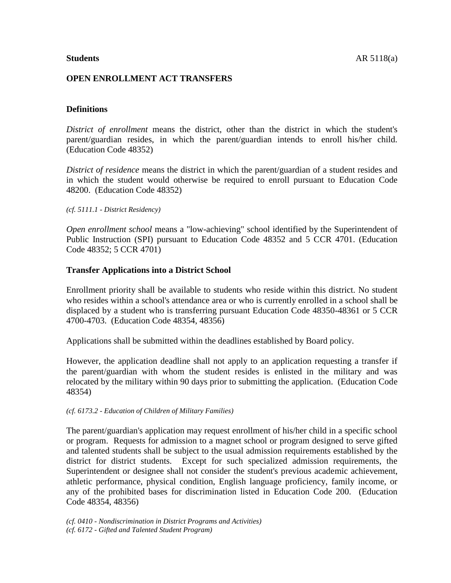# **OPEN ENROLLMENT ACT TRANSFERS**

# **Definitions**

*District of enrollment* means the district, other than the district in which the student's parent/guardian resides, in which the parent/guardian intends to enroll his/her child. (Education Code 48352)

*District of residence* means the district in which the parent/guardian of a student resides and in which the student would otherwise be required to enroll pursuant to Education Code 48200. (Education Code 48352)

## *(cf. 5111.1 - District Residency)*

*Open enrollment school* means a "low-achieving" school identified by the Superintendent of Public Instruction (SPI) pursuant to Education Code 48352 and 5 CCR 4701. (Education Code 48352; 5 CCR 4701)

## **Transfer Applications into a District School**

Enrollment priority shall be available to students who reside within this district. No student who resides within a school's attendance area or who is currently enrolled in a school shall be displaced by a student who is transferring pursuant Education Code 48350-48361 or 5 CCR 4700-4703. (Education Code 48354, 48356)

Applications shall be submitted within the deadlines established by Board policy.

However, the application deadline shall not apply to an application requesting a transfer if the parent/guardian with whom the student resides is enlisted in the military and was relocated by the military within 90 days prior to submitting the application. (Education Code 48354)

*(cf. 6173.2 - Education of Children of Military Families)*

The parent/guardian's application may request enrollment of his/her child in a specific school or program. Requests for admission to a magnet school or program designed to serve gifted and talented students shall be subject to the usual admission requirements established by the district for district students. Except for such specialized admission requirements, the Superintendent or designee shall not consider the student's previous academic achievement, athletic performance, physical condition, English language proficiency, family income, or any of the prohibited bases for discrimination listed in Education Code 200. (Education Code 48354, 48356)

*(cf. 0410 - Nondiscrimination in District Programs and Activities) (cf. 6172 - Gifted and Talented Student Program)*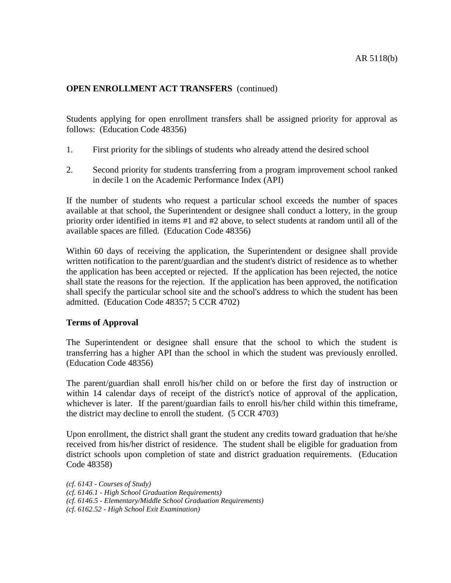Students applying for open enrollment transfers shall be assigned priority for approval as follows: (Education Code 48356)

- 1. First priority for the siblings of students who already attend the desired school
- 2. Second priority for students transferring from a program improvement school ranked in decile 1 on the Academic Performance Index (API)

If the number of students who request a particular school exceeds the number of spaces available at that school, the Superintendent or designee shall conduct a lottery, in the group priority order identified in items #1 and #2 above, to select students at random until all of the available spaces are filled. (Education Code 48356)

Within 60 days of receiving the application, the Superintendent or designee shall provide written notification to the parent/guardian and the student's district of residence as to whether the application has been accepted or rejected. If the application has been rejected, the notice shall state the reasons for the rejection. If the application has been approved, the notification shall specify the particular school site and the school's address to which the student has been admitted. (Education Code 48357; 5 CCR 4702)

## **Terms of Approval**

The Superintendent or designee shall ensure that the school to which the student is transferring has a higher API than the school in which the student was previously enrolled. (Education Code 48356)

The parent/guardian shall enroll his/her child on or before the first day of instruction or within 14 calendar days of receipt of the district's notice of approval of the application, whichever is later. If the parent/guardian fails to enroll his/her child within this timeframe, the district may decline to enroll the student. (5 CCR 4703)

Upon enrollment, the district shall grant the student any credits toward graduation that he/she received from his/her district of residence. The student shall be eligible for graduation from district schools upon completion of state and district graduation requirements. (Education Code 48358)

*(cf. 6143 - Courses of Study) (cf. 6146.1 - High School Graduation Requirements) (cf. 6146.5 - Elementary/Middle School Graduation Requirements) (cf. 6162.52 - High School Exit Examination)*